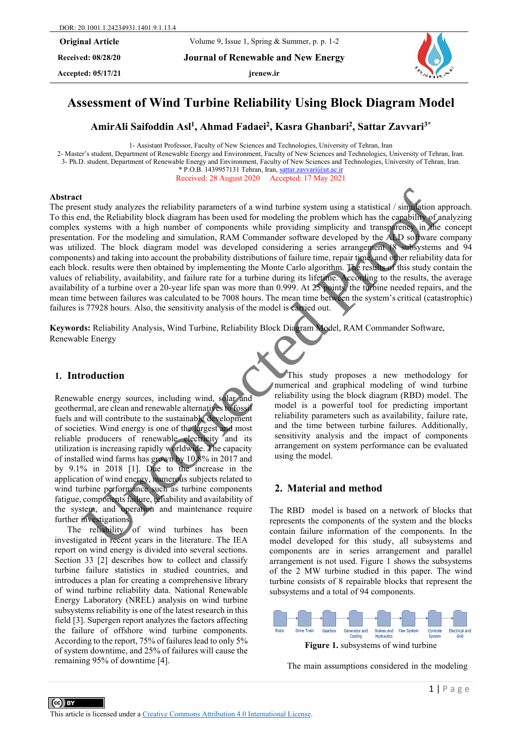**Received: 08/28/20 Journal of Renewable and New Energy**

Accepted:  $05/17/21$  **jrenew.ir** 



# **Assessment of Wind Turbine Reliability Using Block Diagram Model**

**AmirAli Saifoddin Asl1, Ahmad Fadaei2, Kasra Ghanbari2, Sattar Zavvari3\*** 

1- Assistant Professor, Faculty of New Sciences and Technologies, University of Tehran, Iran

2- Master's student, Department of Renewable Energy and Environment, Faculty of New Sciences and Technologies, University of Tehran, Iran. 3- Ph.D. student, Department of Renewable Energy and Environment, Faculty of New Sciences and Technologies, University of Tehran, Iran. \* P.O.B. 1439957131 Tehran, Iran[, sattar.zavvari@ut.ac.ir](mailto:sattar.zavvari@ut.ac.ir)

Received: 28 August 2020 Accepted: 17 May 2021

#### **Abstract**

The present study analyzes the reliability parameters of a wind turbine system using a statistical / simulation approach. To this end, the Reliability block diagram has been used for modeling the problem which has the capability of analyzing complex systems with a high number of components while providing simplicity and transparency in the concept presentation. For the modeling and simulation, RAM Commander software developed by the ALD software company was utilized. The block diagram model was developed considering a series arrangement (8 subsystems and 94 components) and taking into account the probability distributions of failure time, repair time, and other reliability data for each block. results were then obtained by implementing the Monte Carlo algorithm. The results of this study contain the values of reliability, availability, and failure rate for a turbine during its lifetime. According to the results, the average availability of a turbine over a 20-year life span was more than 0.999. At 25 points, the turbine needed repairs, and the mean time between failures was calculated to be 7008 hours. The mean time between the system's critical (catastrophic) failures is 77928 hours. Also, the sensitivity analysis of the model is carried out. ent study analyzes the reliability parameters of a wind turbine system using a statistical / simpation and distant and distant and the reliability block diagram has been used for modeling simpatibility and transportation.

**Keywords:** Reliability Analysis, Wind Turbine, Reliability Block Diagram Model, RAM Commander Software, Renewable Energy

# **1. Introduction**

Renewable energy sources, including wind, solar and geothermal, are clean and renewable alternatives to fossil fuels and will contribute to the sustainable development of societies. Wind energy is one of the largest and most reliable producers of renewable electricity and its utilization is increasing rapidly worldwide. The capacity of installed wind farms has grown by 10.8% in 2017 and by  $9.1\%$  in 2018 [1]. Due to the increase in the application of wind energy, numerous subjects related to wind turbine performance such as turbine components fatigue, components failure, reliability and availability of the system, and operation and maintenance require further investigations.

The reliability of wind turbines has been investigated in recent years in the literature. The IEA report on wind energy is divided into several sections. Section 33 [2] describes how to collect and classify turbine failure statistics in studied countries, and introduces a plan for creating a comprehensive library of wind turbine reliability data. National Renewable Energy Laboratory (NREL) analysis on wind turbine subsystems reliability is one of the latest research in this field [3]. Supergen report analyzes the factors affecting the failure of offshore wind turbine components. According to the report, 75% of failures lead to only 5% of system downtime, and 25% of failures will cause the remaining 95% of downtime [4].

This study proposes a new methodology for numerical and graphical modeling of wind turbine reliability using the block diagram (RBD) model. The model is a powerful tool for predicting important reliability parameters such as availability, failure rate, and the time between turbine failures. Additionally, sensitivity analysis and the impact of components arrangement on system performance can be evaluated using the model.

# **2. Material and method**

The RBD model is based on a network of blocks that represents the components of the system and the blocks contain failure information of the components. In the model developed for this study, all subsystems and components are in series arrangement and parallel arrangement is not used. Figure 1 shows the subsystems of the 2 MW turbine studied in this paper. The wind turbine consists of 8 repairable blocks that represent the subsystems and a total of 94 components.



The main assumptions considered in the modeling